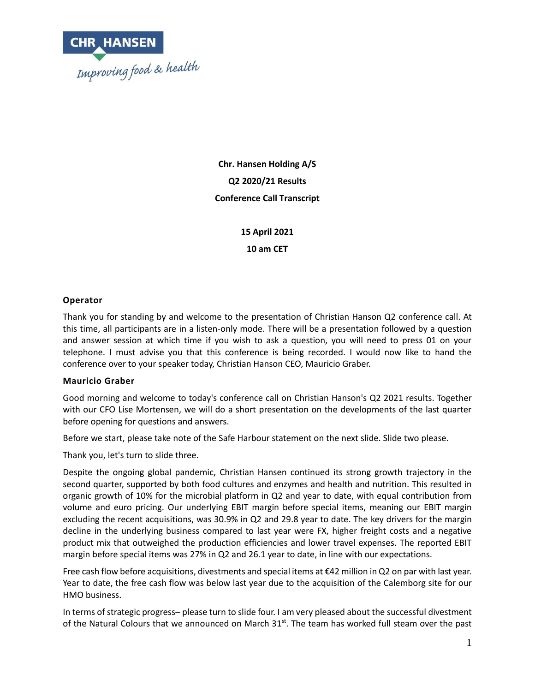

**Chr. Hansen Holding A/S Q2 2020/21 Results Conference Call Transcript**

> **15 April 2021 10 am CET**

### **Operator**

Thank you for standing by and welcome to the presentation of Christian Hanson Q2 conference call. At this time, all participants are in a listen-only mode. There will be a presentation followed by a question and answer session at which time if you wish to ask a question, you will need to press 01 on your telephone. I must advise you that this conference is being recorded. I would now like to hand the conference over to your speaker today, Christian Hanson CEO, Mauricio Graber.

#### **Mauricio Graber**

Good morning and welcome to today's conference call on Christian Hanson's Q2 2021 results. Together with our CFO Lise Mortensen, we will do a short presentation on the developments of the last quarter before opening for questions and answers.

Before we start, please take note of the Safe Harbour statement on the next slide. Slide two please.

Thank you, let's turn to slide three.

Despite the ongoing global pandemic, Christian Hansen continued its strong growth trajectory in the second quarter, supported by both food cultures and enzymes and health and nutrition. This resulted in organic growth of 10% for the microbial platform in Q2 and year to date, with equal contribution from volume and euro pricing. Our underlying EBIT margin before special items, meaning our EBIT margin excluding the recent acquisitions, was 30.9% in Q2 and 29.8 year to date. The key drivers for the margin decline in the underlying business compared to last year were FX, higher freight costs and a negative product mix that outweighed the production efficiencies and lower travel expenses. The reported EBIT margin before special items was 27% in Q2 and 26.1 year to date, in line with our expectations.

Free cash flow before acquisitions, divestments and special items at €42 million in Q2 on par with last year. Year to date, the free cash flow was below last year due to the acquisition of the Calemborg site for our HMO business.

In terms of strategic progress– please turn to slide four. I am very pleased about the successful divestment of the Natural Colours that we announced on March 31<sup>st</sup>. The team has worked full steam over the past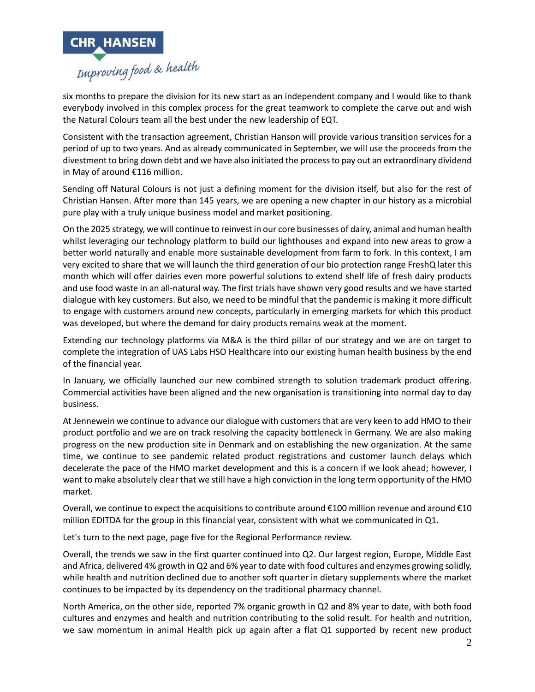

six months to prepare the division for its new start as an independent company and I would like to thank everybody involved in this complex process for the great teamwork to complete the carve out and wish the Natural Colours team all the best under the new leadership of EQT.

Consistent with the transaction agreement, Christian Hanson will provide various transition services for a period of up to two years. And as already communicated in September, we will use the proceeds from the divestment to bring down debt and we have also initiated the process to pay out an extraordinary dividend in May of around €116 million.

Sending off Natural Colours is not just a defining moment for the division itself, but also for the rest of Christian Hansen. After more than 145 years, we are opening a new chapter in our history as a microbial pure play with a truly unique business model and market positioning.

On the 2025 strategy, we will continue to reinvest in our core businesses of dairy, animal and human health whilst leveraging our technology platform to build our lighthouses and expand into new areas to grow a better world naturally and enable more sustainable development from farm to fork. In this context, I am very excited to share that we will launch the third generation of our bio protection range FreshQ later this month which will offer dairies even more powerful solutions to extend shelf life of fresh dairy products and use food waste in an all-natural way. The first trials have shown very good results and we have started dialogue with key customers. But also, we need to be mindful that the pandemic is making it more difficult to engage with customers around new concepts, particularly in emerging markets for which this product was developed, but where the demand for dairy products remains weak at the moment.

Extending our technology platforms via M&A is the third pillar of our strategy and we are on target to complete the integration of UAS Labs HSO Healthcare into our existing human health business by the end of the financial year.

In January, we officially launched our new combined strength to solution trademark product offering. Commercial activities have been aligned and the new organisation is transitioning into normal day to day business.

At Jennewein we continue to advance our dialogue with customers that are very keen to add HMO to their product portfolio and we are on track resolving the capacity bottleneck in Germany. We are also making progress on the new production site in Denmark and on establishing the new organization. At the same time, we continue to see pandemic related product registrations and customer launch delays which decelerate the pace of the HMO market development and this is a concern if we look ahead; however, I want to make absolutely clear that we still have a high conviction in the long term opportunity of the HMO market.

Overall, we continue to expect the acquisitions to contribute around €100 million revenue and around €10 million EDITDA for the group in this financial year, consistent with what we communicated in Q1.

Let's turn to the next page, page five for the Regional Performance review.

Overall, the trends we saw in the first quarter continued into Q2. Our largest region, Europe, Middle East and Africa, delivered 4% growth in Q2 and 6% year to date with food cultures and enzymes growing solidly, while health and nutrition declined due to another soft quarter in dietary supplements where the market continues to be impacted by its dependency on the traditional pharmacy channel.

North America, on the other side, reported 7% organic growth in Q2 and 8% year to date, with both food cultures and enzymes and health and nutrition contributing to the solid result. For health and nutrition, we saw momentum in animal Health pick up again after a flat Q1 supported by recent new product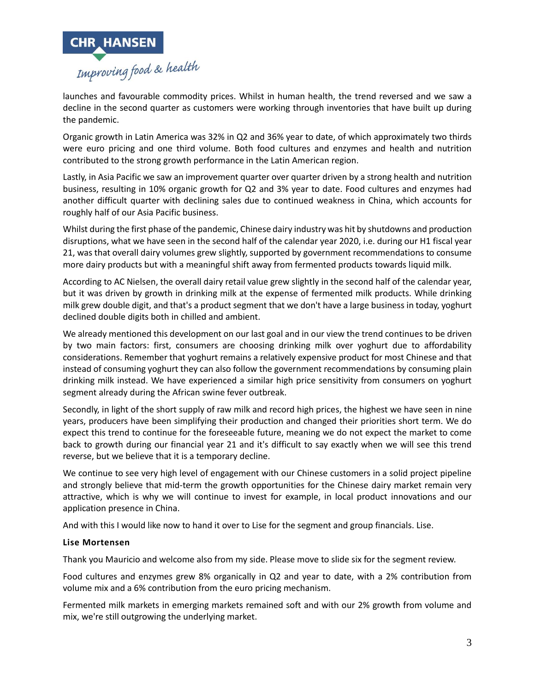

launches and favourable commodity prices. Whilst in human health, the trend reversed and we saw a decline in the second quarter as customers were working through inventories that have built up during the pandemic.

Organic growth in Latin America was 32% in Q2 and 36% year to date, of which approximately two thirds were euro pricing and one third volume. Both food cultures and enzymes and health and nutrition contributed to the strong growth performance in the Latin American region.

Lastly, in Asia Pacific we saw an improvement quarter over quarter driven by a strong health and nutrition business, resulting in 10% organic growth for Q2 and 3% year to date. Food cultures and enzymes had another difficult quarter with declining sales due to continued weakness in China, which accounts for roughly half of our Asia Pacific business.

Whilst during the first phase of the pandemic, Chinese dairy industry was hit by shutdowns and production disruptions, what we have seen in the second half of the calendar year 2020, i.e. during our H1 fiscal year 21, was that overall dairy volumes grew slightly, supported by government recommendations to consume more dairy products but with a meaningful shift away from fermented products towards liquid milk.

According to AC Nielsen, the overall dairy retail value grew slightly in the second half of the calendar year, but it was driven by growth in drinking milk at the expense of fermented milk products. While drinking milk grew double digit, and that's a product segment that we don't have a large business in today, yoghurt declined double digits both in chilled and ambient.

We already mentioned this development on our last goal and in our view the trend continues to be driven by two main factors: first, consumers are choosing drinking milk over yoghurt due to affordability considerations. Remember that yoghurt remains a relatively expensive product for most Chinese and that instead of consuming yoghurt they can also follow the government recommendations by consuming plain drinking milk instead. We have experienced a similar high price sensitivity from consumers on yoghurt segment already during the African swine fever outbreak.

Secondly, in light of the short supply of raw milk and record high prices, the highest we have seen in nine years, producers have been simplifying their production and changed their priorities short term. We do expect this trend to continue for the foreseeable future, meaning we do not expect the market to come back to growth during our financial year 21 and it's difficult to say exactly when we will see this trend reverse, but we believe that it is a temporary decline.

We continue to see very high level of engagement with our Chinese customers in a solid project pipeline and strongly believe that mid-term the growth opportunities for the Chinese dairy market remain very attractive, which is why we will continue to invest for example, in local product innovations and our application presence in China.

And with this I would like now to hand it over to Lise for the segment and group financials. Lise.

#### **Lise Mortensen**

Thank you Mauricio and welcome also from my side. Please move to slide six for the segment review.

Food cultures and enzymes grew 8% organically in Q2 and year to date, with a 2% contribution from volume mix and a 6% contribution from the euro pricing mechanism.

Fermented milk markets in emerging markets remained soft and with our 2% growth from volume and mix, we're still outgrowing the underlying market.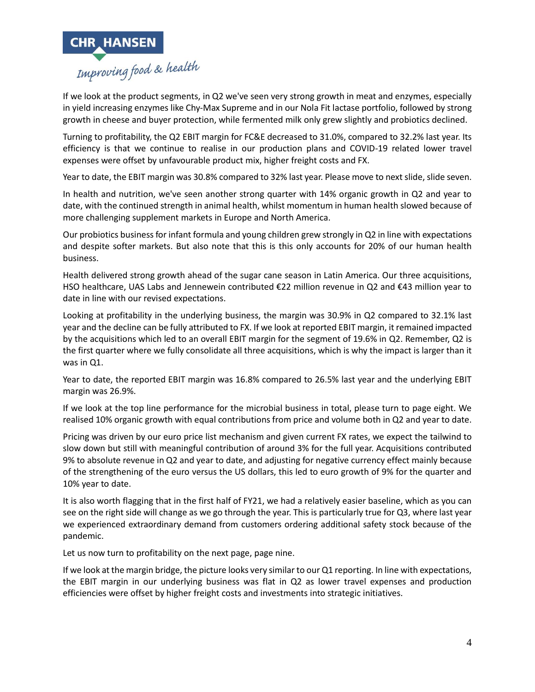

If we look at the product segments, in Q2 we've seen very strong growth in meat and enzymes, especially in yield increasing enzymes like Chy-Max Supreme and in our Nola Fit lactase portfolio, followed by strong growth in cheese and buyer protection, while fermented milk only grew slightly and probiotics declined.

Turning to profitability, the Q2 EBIT margin for FC&E decreased to 31.0%, compared to 32.2% last year. Its efficiency is that we continue to realise in our production plans and COVID-19 related lower travel expenses were offset by unfavourable product mix, higher freight costs and FX.

Year to date, the EBIT margin was 30.8% compared to 32% last year. Please move to next slide, slide seven.

In health and nutrition, we've seen another strong quarter with 14% organic growth in Q2 and year to date, with the continued strength in animal health, whilst momentum in human health slowed because of more challenging supplement markets in Europe and North America.

Our probiotics business for infant formula and young children grew strongly in Q2 in line with expectations and despite softer markets. But also note that this is this only accounts for 20% of our human health business.

Health delivered strong growth ahead of the sugar cane season in Latin America. Our three acquisitions, HSO healthcare, UAS Labs and Jennewein contributed €22 million revenue in Q2 and €43 million year to date in line with our revised expectations.

Looking at profitability in the underlying business, the margin was 30.9% in Q2 compared to 32.1% last year and the decline can be fully attributed to FX. If we look at reported EBIT margin, it remained impacted by the acquisitions which led to an overall EBIT margin for the segment of 19.6% in Q2. Remember, Q2 is the first quarter where we fully consolidate all three acquisitions, which is why the impact is larger than it was in Q1.

Year to date, the reported EBIT margin was 16.8% compared to 26.5% last year and the underlying EBIT margin was 26.9%.

If we look at the top line performance for the microbial business in total, please turn to page eight. We realised 10% organic growth with equal contributions from price and volume both in Q2 and year to date.

Pricing was driven by our euro price list mechanism and given current FX rates, we expect the tailwind to slow down but still with meaningful contribution of around 3% for the full year. Acquisitions contributed 9% to absolute revenue in Q2 and year to date, and adjusting for negative currency effect mainly because of the strengthening of the euro versus the US dollars, this led to euro growth of 9% for the quarter and 10% year to date.

It is also worth flagging that in the first half of FY21, we had a relatively easier baseline, which as you can see on the right side will change as we go through the year. This is particularly true for Q3, where last year we experienced extraordinary demand from customers ordering additional safety stock because of the pandemic.

Let us now turn to profitability on the next page, page nine.

If we look at the margin bridge, the picture looks very similar to our Q1 reporting. In line with expectations, the EBIT margin in our underlying business was flat in Q2 as lower travel expenses and production efficiencies were offset by higher freight costs and investments into strategic initiatives.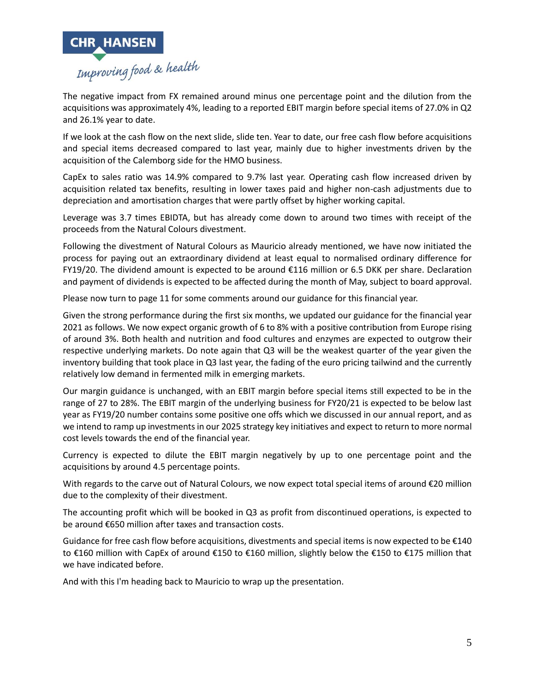

The negative impact from FX remained around minus one percentage point and the dilution from the acquisitions was approximately 4%, leading to a reported EBIT margin before special items of 27.0% in Q2 and 26.1% year to date.

If we look at the cash flow on the next slide, slide ten. Year to date, our free cash flow before acquisitions and special items decreased compared to last year, mainly due to higher investments driven by the acquisition of the Calemborg side for the HMO business.

CapEx to sales ratio was 14.9% compared to 9.7% last year. Operating cash flow increased driven by acquisition related tax benefits, resulting in lower taxes paid and higher non-cash adjustments due to depreciation and amortisation charges that were partly offset by higher working capital.

Leverage was 3.7 times EBIDTA, but has already come down to around two times with receipt of the proceeds from the Natural Colours divestment.

Following the divestment of Natural Colours as Mauricio already mentioned, we have now initiated the process for paying out an extraordinary dividend at least equal to normalised ordinary difference for FY19/20. The dividend amount is expected to be around €116 million or 6.5 DKK per share. Declaration and payment of dividends is expected to be affected during the month of May, subject to board approval.

Please now turn to page 11 for some comments around our guidance for this financial year.

Given the strong performance during the first six months, we updated our guidance for the financial year 2021 as follows. We now expect organic growth of 6 to 8% with a positive contribution from Europe rising of around 3%. Both health and nutrition and food cultures and enzymes are expected to outgrow their respective underlying markets. Do note again that Q3 will be the weakest quarter of the year given the inventory building that took place in Q3 last year, the fading of the euro pricing tailwind and the currently relatively low demand in fermented milk in emerging markets.

Our margin guidance is unchanged, with an EBIT margin before special items still expected to be in the range of 27 to 28%. The EBIT margin of the underlying business for FY20/21 is expected to be below last year as FY19/20 number contains some positive one offs which we discussed in our annual report, and as we intend to ramp up investments in our 2025 strategy key initiatives and expect to return to more normal cost levels towards the end of the financial year.

Currency is expected to dilute the EBIT margin negatively by up to one percentage point and the acquisitions by around 4.5 percentage points.

With regards to the carve out of Natural Colours, we now expect total special items of around €20 million due to the complexity of their divestment.

The accounting profit which will be booked in Q3 as profit from discontinued operations, is expected to be around €650 million after taxes and transaction costs.

Guidance for free cash flow before acquisitions, divestments and special items is now expected to be  $\epsilon$ 140 to €160 million with CapEx of around €150 to €160 million, slightly below the €150 to €175 million that we have indicated before.

And with this I'm heading back to Mauricio to wrap up the presentation.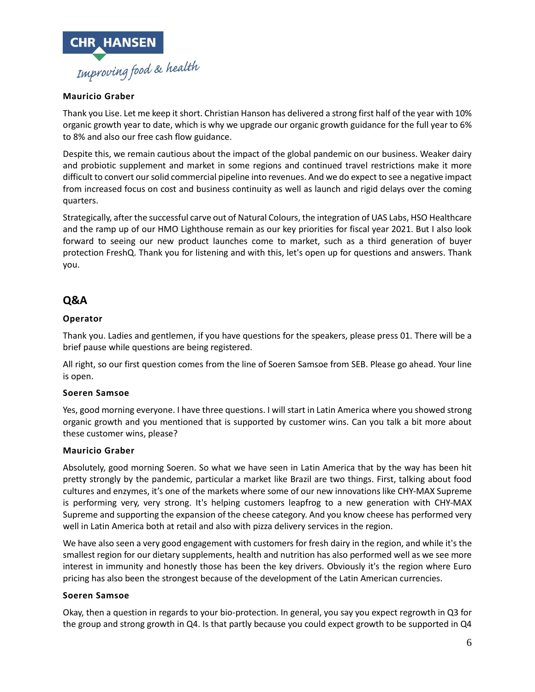

# **Mauricio Graber**

Thank you Lise. Let me keep it short. Christian Hanson has delivered a strong first half of the year with 10% organic growth year to date, which is why we upgrade our organic growth guidance for the full year to 6% to 8% and also our free cash flow guidance.

Despite this, we remain cautious about the impact of the global pandemic on our business. Weaker dairy and probiotic supplement and market in some regions and continued travel restrictions make it more difficult to convert our solid commercial pipeline into revenues. And we do expect to see a negative impact from increased focus on cost and business continuity as well as launch and rigid delays over the coming quarters.

Strategically, after the successful carve out of Natural Colours, the integration of UAS Labs, HSO Healthcare and the ramp up of our HMO Lighthouse remain as our key priorities for fiscal year 2021. But I also look forward to seeing our new product launches come to market, such as a third generation of buyer protection FreshQ. Thank you for listening and with this, let's open up for questions and answers. Thank you.

# **Q&A**

### **Operator**

Thank you. Ladies and gentlemen, if you have questions for the speakers, please press 01. There will be a brief pause while questions are being registered.

All right, so our first question comes from the line of Soeren Samsoe from SEB. Please go ahead. Your line is open.

#### **Soeren Samsoe**

Yes, good morning everyone. I have three questions. I will start in Latin America where you showed strong organic growth and you mentioned that is supported by customer wins. Can you talk a bit more about these customer wins, please?

#### **Mauricio Graber**

Absolutely, good morning Soeren. So what we have seen in Latin America that by the way has been hit pretty strongly by the pandemic, particular a market like Brazil are two things. First, talking about food cultures and enzymes, it's one of the markets where some of our new innovations like CHY-MAX Supreme is performing very, very strong. It's helping customers leapfrog to a new generation with CHY-MAX Supreme and supporting the expansion of the cheese category. And you know cheese has performed very well in Latin America both at retail and also with pizza delivery services in the region.

We have also seen a very good engagement with customers for fresh dairy in the region, and while it's the smallest region for our dietary supplements, health and nutrition has also performed well as we see more interest in immunity and honestly those has been the key drivers. Obviously it's the region where Euro pricing has also been the strongest because of the development of the Latin American currencies.

#### **Soeren Samsoe**

Okay, then a question in regards to your bio-protection. In general, you say you expect regrowth in Q3 for the group and strong growth in Q4. Is that partly because you could expect growth to be supported in Q4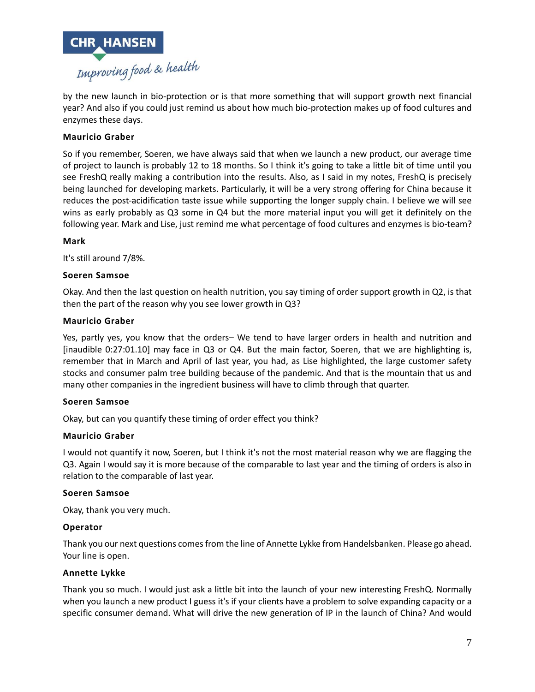

by the new launch in bio-protection or is that more something that will support growth next financial year? And also if you could just remind us about how much bio-protection makes up of food cultures and enzymes these days.

## **Mauricio Graber**

So if you remember, Soeren, we have always said that when we launch a new product, our average time of project to launch is probably 12 to 18 months. So I think it's going to take a little bit of time until you see FreshQ really making a contribution into the results. Also, as I said in my notes, FreshQ is precisely being launched for developing markets. Particularly, it will be a very strong offering for China because it reduces the post-acidification taste issue while supporting the longer supply chain. I believe we will see wins as early probably as Q3 some in Q4 but the more material input you will get it definitely on the following year. Mark and Lise, just remind me what percentage of food cultures and enzymes is bio-team?

#### **Mark**

It's still around 7/8%.

### **Soeren Samsoe**

Okay. And then the last question on health nutrition, you say timing of order support growth in Q2, is that then the part of the reason why you see lower growth in Q3?

#### **Mauricio Graber**

Yes, partly yes, you know that the orders– We tend to have larger orders in health and nutrition and [inaudible 0:27:01.10] may face in Q3 or Q4. But the main factor, Soeren, that we are highlighting is, remember that in March and April of last year, you had, as Lise highlighted, the large customer safety stocks and consumer palm tree building because of the pandemic. And that is the mountain that us and many other companies in the ingredient business will have to climb through that quarter.

### **Soeren Samsoe**

Okay, but can you quantify these timing of order effect you think?

### **Mauricio Graber**

I would not quantify it now, Soeren, but I think it's not the most material reason why we are flagging the Q3. Again I would say it is more because of the comparable to last year and the timing of orders is also in relation to the comparable of last year.

#### **Soeren Samsoe**

Okay, thank you very much.

### **Operator**

Thank you our next questions comes from the line of Annette Lykke from Handelsbanken. Please go ahead. Your line is open.

#### **Annette Lykke**

Thank you so much. I would just ask a little bit into the launch of your new interesting FreshQ. Normally when you launch a new product I guess it's if your clients have a problem to solve expanding capacity or a specific consumer demand. What will drive the new generation of IP in the launch of China? And would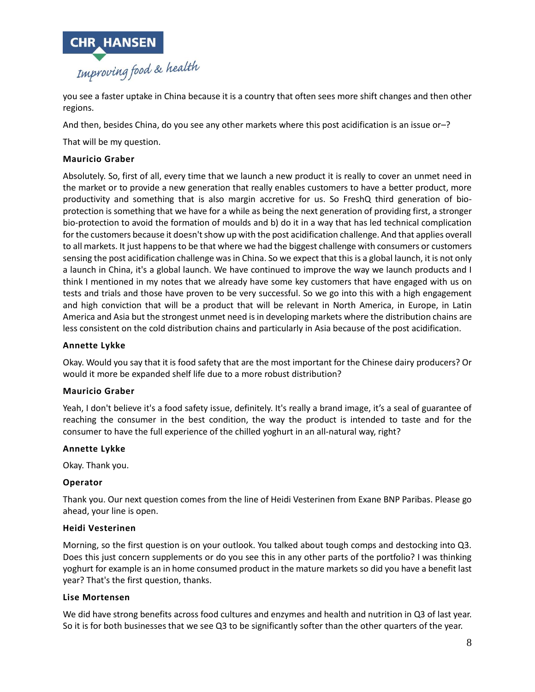

you see a faster uptake in China because it is a country that often sees more shift changes and then other regions.

And then, besides China, do you see any other markets where this post acidification is an issue or–?

That will be my question.

# **Mauricio Graber**

Absolutely. So, first of all, every time that we launch a new product it is really to cover an unmet need in the market or to provide a new generation that really enables customers to have a better product, more productivity and something that is also margin accretive for us. So FreshQ third generation of bioprotection is something that we have for a while as being the next generation of providing first, a stronger bio-protection to avoid the formation of moulds and b) do it in a way that has led technical complication forthe customers because it doesn't show up with the post acidification challenge. And that applies overall to all markets. It just happens to be that where we had the biggest challenge with consumers or customers sensing the post acidification challenge was in China. So we expect that this is a global launch, it is not only a launch in China, it's a global launch. We have continued to improve the way we launch products and I think I mentioned in my notes that we already have some key customers that have engaged with us on tests and trials and those have proven to be very successful. So we go into this with a high engagement and high conviction that will be a product that will be relevant in North America, in Europe, in Latin America and Asia but the strongest unmet need is in developing markets where the distribution chains are less consistent on the cold distribution chains and particularly in Asia because of the post acidification.

#### **Annette Lykke**

Okay. Would you say that it is food safety that are the most important for the Chinese dairy producers? Or would it more be expanded shelf life due to a more robust distribution?

### **Mauricio Graber**

Yeah, I don't believe it's a food safety issue, definitely. It's really a brand image, it's a seal of guarantee of reaching the consumer in the best condition, the way the product is intended to taste and for the consumer to have the full experience of the chilled yoghurt in an all-natural way, right?

### **Annette Lykke**

Okay. Thank you.

### **Operator**

Thank you. Our next question comes from the line of Heidi Vesterinen from Exane BNP Paribas. Please go ahead, your line is open.

#### **Heidi Vesterinen**

Morning, so the first question is on your outlook. You talked about tough comps and destocking into Q3. Does this just concern supplements or do you see this in any other parts of the portfolio? I was thinking yoghurt for example is an in home consumed product in the mature markets so did you have a benefit last year? That's the first question, thanks.

#### **Lise Mortensen**

We did have strong benefits across food cultures and enzymes and health and nutrition in Q3 of last year. So it is for both businesses that we see Q3 to be significantly softer than the other quarters of the year.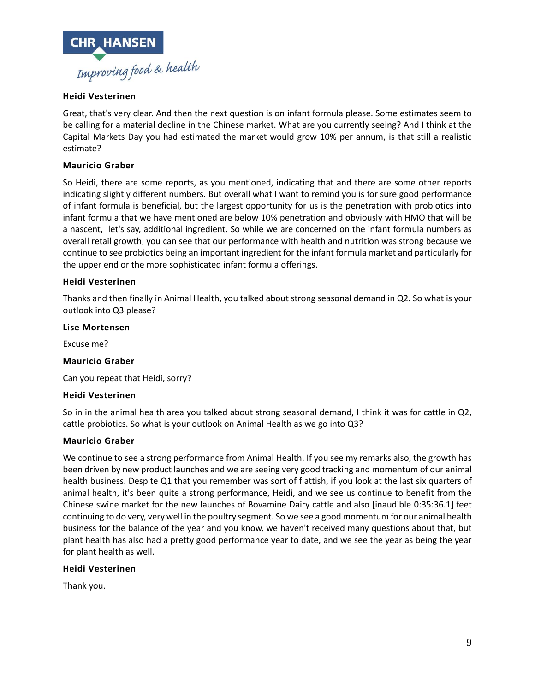

## **Heidi Vesterinen**

Great, that's very clear. And then the next question is on infant formula please. Some estimates seem to be calling for a material decline in the Chinese market. What are you currently seeing? And I think at the Capital Markets Day you had estimated the market would grow 10% per annum, is that still a realistic estimate?

## **Mauricio Graber**

So Heidi, there are some reports, as you mentioned, indicating that and there are some other reports indicating slightly different numbers. But overall what I want to remind you is for sure good performance of infant formula is beneficial, but the largest opportunity for us is the penetration with probiotics into infant formula that we have mentioned are below 10% penetration and obviously with HMO that will be a nascent, let's say, additional ingredient. So while we are concerned on the infant formula numbers as overall retail growth, you can see that our performance with health and nutrition was strong because we continue to see probiotics being an important ingredient for the infant formula market and particularly for the upper end or the more sophisticated infant formula offerings.

### **Heidi Vesterinen**

Thanks and then finally in Animal Health, you talked about strong seasonal demand in Q2. So what is your outlook into Q3 please?

### **Lise Mortensen**

Excuse me?

### **Mauricio Graber**

Can you repeat that Heidi, sorry?

### **Heidi Vesterinen**

So in in the animal health area you talked about strong seasonal demand, I think it was for cattle in Q2, cattle probiotics. So what is your outlook on Animal Health as we go into Q3?

### **Mauricio Graber**

We continue to see a strong performance from Animal Health. If you see my remarks also, the growth has been driven by new product launches and we are seeing very good tracking and momentum of our animal health business. Despite Q1 that you remember was sort of flattish, if you look at the last six quarters of animal health, it's been quite a strong performance, Heidi, and we see us continue to benefit from the Chinese swine market for the new launches of Bovamine Dairy cattle and also [inaudible 0:35:36.1] feet continuing to do very, very well in the poultry segment. So we see a good momentum for our animal health business for the balance of the year and you know, we haven't received many questions about that, but plant health has also had a pretty good performance year to date, and we see the year as being the year for plant health as well.

### **Heidi Vesterinen**

Thank you.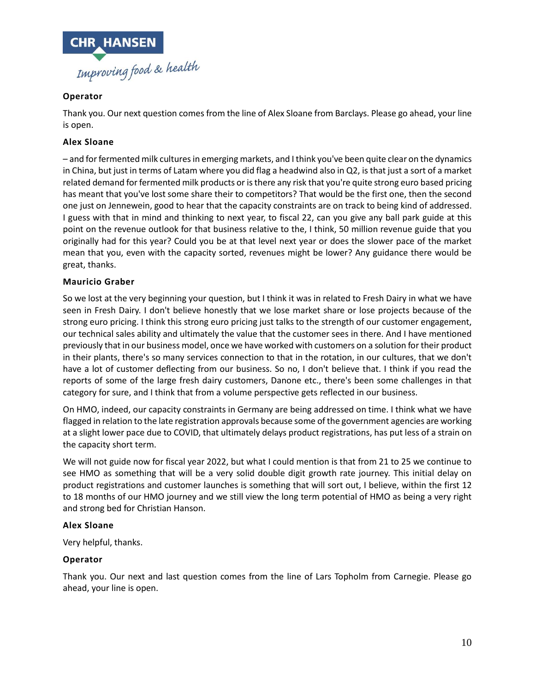

# **Operator**

Thank you. Our next question comes from the line of Alex Sloane from Barclays. Please go ahead, your line is open.

# **Alex Sloane**

– and for fermented milk cultures in emerging markets, and I think you've been quite clear on the dynamics in China, but just in terms of Latam where you did flag a headwind also in Q2, is that just a sort of a market related demand for fermented milk products or is there any risk that you're quite strong euro based pricing has meant that you've lost some share their to competitors? That would be the first one, then the second one just on Jennewein, good to hear that the capacity constraints are on track to being kind of addressed. I guess with that in mind and thinking to next year, to fiscal 22, can you give any ball park guide at this point on the revenue outlook for that business relative to the, I think, 50 million revenue guide that you originally had for this year? Could you be at that level next year or does the slower pace of the market mean that you, even with the capacity sorted, revenues might be lower? Any guidance there would be great, thanks.

### **Mauricio Graber**

So we lost at the very beginning your question, but I think it was in related to Fresh Dairy in what we have seen in Fresh Dairy. I don't believe honestly that we lose market share or lose projects because of the strong euro pricing. I think this strong euro pricing just talks to the strength of our customer engagement, our technical sales ability and ultimately the value that the customer sees in there. And I have mentioned previously that in our business model, once we have worked with customers on a solution for their product in their plants, there's so many services connection to that in the rotation, in our cultures, that we don't have a lot of customer deflecting from our business. So no, I don't believe that. I think if you read the reports of some of the large fresh dairy customers, Danone etc., there's been some challenges in that category for sure, and I think that from a volume perspective gets reflected in our business.

On HMO, indeed, our capacity constraints in Germany are being addressed on time. I think what we have flagged in relation to the late registration approvals because some of the government agencies are working at a slight lower pace due to COVID, that ultimately delays product registrations, has put less of a strain on the capacity short term.

We will not guide now for fiscal year 2022, but what I could mention is that from 21 to 25 we continue to see HMO as something that will be a very solid double digit growth rate journey. This initial delay on product registrations and customer launches is something that will sort out, I believe, within the first 12 to 18 months of our HMO journey and we still view the long term potential of HMO as being a very right and strong bed for Christian Hanson.

### **Alex Sloane**

Very helpful, thanks.

# **Operator**

Thank you. Our next and last question comes from the line of Lars Topholm from Carnegie. Please go ahead, your line is open.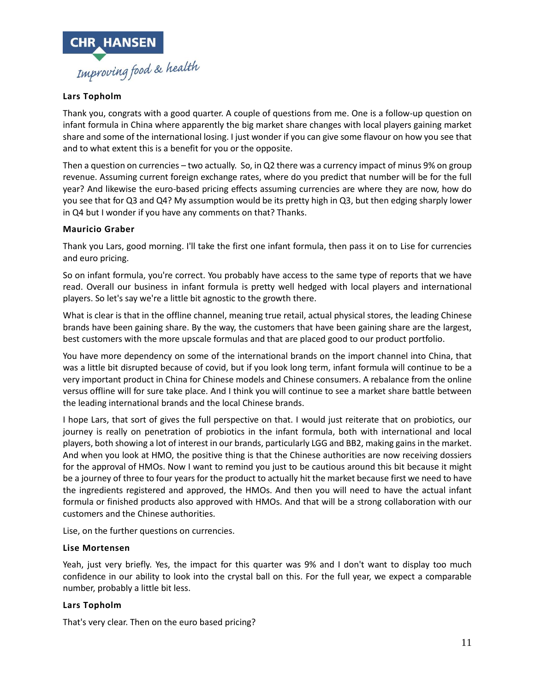

# **Lars Topholm**

Thank you, congrats with a good quarter. A couple of questions from me. One is a follow-up question on infant formula in China where apparently the big market share changes with local players gaining market share and some of the international losing. I just wonder if you can give some flavour on how you see that and to what extent this is a benefit for you or the opposite.

Then a question on currencies – two actually. So, in Q2 there was a currency impact of minus 9% on group revenue. Assuming current foreign exchange rates, where do you predict that number will be for the full year? And likewise the euro-based pricing effects assuming currencies are where they are now, how do you see that for Q3 and Q4? My assumption would be its pretty high in Q3, but then edging sharply lower in Q4 but I wonder if you have any comments on that? Thanks.

### **Mauricio Graber**

Thank you Lars, good morning. I'll take the first one infant formula, then pass it on to Lise for currencies and euro pricing.

So on infant formula, you're correct. You probably have access to the same type of reports that we have read. Overall our business in infant formula is pretty well hedged with local players and international players. So let's say we're a little bit agnostic to the growth there.

What is clear is that in the offline channel, meaning true retail, actual physical stores, the leading Chinese brands have been gaining share. By the way, the customers that have been gaining share are the largest, best customers with the more upscale formulas and that are placed good to our product portfolio.

You have more dependency on some of the international brands on the import channel into China, that was a little bit disrupted because of covid, but if you look long term, infant formula will continue to be a very important product in China for Chinese models and Chinese consumers. A rebalance from the online versus offline will for sure take place. And I think you will continue to see a market share battle between the leading international brands and the local Chinese brands.

I hope Lars, that sort of gives the full perspective on that. I would just reiterate that on probiotics, our journey is really on penetration of probiotics in the infant formula, both with international and local players, both showing a lot of interest in our brands, particularly LGG and BB2, making gains in the market. And when you look at HMO, the positive thing is that the Chinese authorities are now receiving dossiers for the approval of HMOs. Now I want to remind you just to be cautious around this bit because it might be a journey of three to four years for the product to actually hit the market because first we need to have the ingredients registered and approved, the HMOs. And then you will need to have the actual infant formula or finished products also approved with HMOs. And that will be a strong collaboration with our customers and the Chinese authorities.

Lise, on the further questions on currencies.

#### **Lise Mortensen**

Yeah, just very briefly. Yes, the impact for this quarter was 9% and I don't want to display too much confidence in our ability to look into the crystal ball on this. For the full year, we expect a comparable number, probably a little bit less.

### **Lars Topholm**

That's very clear. Then on the euro based pricing?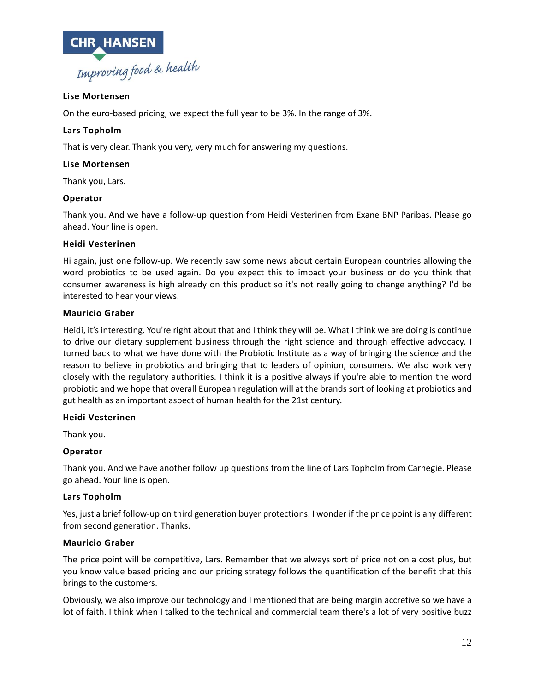

# **Lise Mortensen**

On the euro-based pricing, we expect the full year to be 3%. In the range of 3%.

#### **Lars Topholm**

That is very clear. Thank you very, very much for answering my questions.

#### **Lise Mortensen**

Thank you, Lars.

#### **Operator**

Thank you. And we have a follow-up question from Heidi Vesterinen from Exane BNP Paribas. Please go ahead. Your line is open.

#### **Heidi Vesterinen**

Hi again, just one follow-up. We recently saw some news about certain European countries allowing the word probiotics to be used again. Do you expect this to impact your business or do you think that consumer awareness is high already on this product so it's not really going to change anything? I'd be interested to hear your views.

#### **Mauricio Graber**

Heidi, it's interesting. You're right about that and I think they will be. What I think we are doing is continue to drive our dietary supplement business through the right science and through effective advocacy. I turned back to what we have done with the Probiotic Institute as a way of bringing the science and the reason to believe in probiotics and bringing that to leaders of opinion, consumers. We also work very closely with the regulatory authorities. I think it is a positive always if you're able to mention the word probiotic and we hope that overall European regulation will at the brands sort of looking at probiotics and gut health as an important aspect of human health for the 21st century.

#### **Heidi Vesterinen**

Thank you.

### **Operator**

Thank you. And we have another follow up questions from the line of Lars Topholm from Carnegie. Please go ahead. Your line is open.

#### **Lars Topholm**

Yes, just a brief follow-up on third generation buyer protections. I wonder if the price point is any different from second generation. Thanks.

#### **Mauricio Graber**

The price point will be competitive, Lars. Remember that we always sort of price not on a cost plus, but you know value based pricing and our pricing strategy follows the quantification of the benefit that this brings to the customers.

Obviously, we also improve our technology and I mentioned that are being margin accretive so we have a lot of faith. I think when I talked to the technical and commercial team there's a lot of very positive buzz